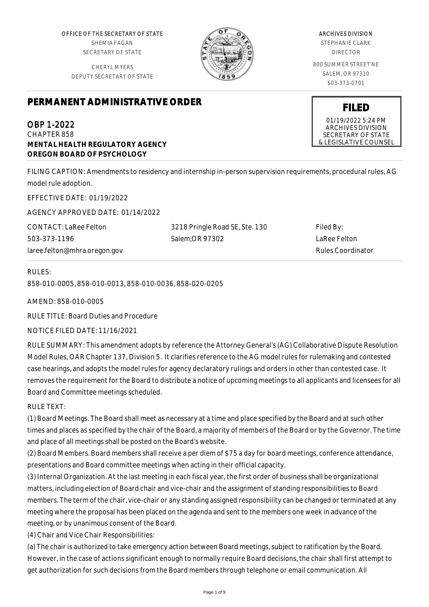OFFICE OF THE SECRETARY OF STATE SHEMIA FAGAN SECRETARY OF STATE

CHERYL MYERS DEPUTY SECRETARY OF STATE



# ARCHIVES DIVISION

STEPHANIE CLARK DIRECTOR

800 SUMMER STREET NE SALEM, OR 97310 503-373-0701

# **PERMANENT ADMINISTRATIVE ORDER**

OBP 1-2022 CHAPTER 858 **MENTAL HEALTH REGULATORY AGENCY OREGON BOARD OF PSYCHOLOGY**

FILING CAPTION: Amendments to residency and internship in-person supervision requirements, procedural rules, AG model rule adoption.

EFFECTIVE DATE: 01/19/2022

AGENCY APPROVED DATE: 01/14/2022

| CONTACT: LaRee Felton        | 3218 Pringle Road SE, Ste. 130 | Filed By:         |
|------------------------------|--------------------------------|-------------------|
| 503-373-1196                 | Salem.OR 97302                 | LaRee Felton      |
| laree.felton@mhra.oregon.gov |                                | Rules Coordinator |

# RULES: 858-010-0005, 858-010-0013, 858-010-0036, 858-020-0205

AMEND: 858-010-0005

RULE TITLE: Board Duties and Procedure

NOTICE FILED DATE: 11/16/2021

RULE SUMMARY: This amendment adopts by reference the Attorney General's (AG) Collaborative Dispute Resolution Model Rules, OAR Chapter 137, Division 5. It clarifies reference to the AG model rules for rulemaking and contested case hearings, and adopts the model rules for agency declaratory rulings and orders in other than contested case. It removes the requirement for the Board to distribute a notice of upcoming meetings to all applicants and licensees for all Board and Committee meetings scheduled.

RULE TEXT:

(1) Board Meetings. The Board shall meet as necessary at a time and place specified by the Board and at such other times and places as specified by the chair of the Board, a majority of members of the Board or by the Governor. The time and place of all meetings shall be posted on the Board's website.

(2) Board Members. Board members shall receive a per diem of \$75 a day for board meetings, conference attendance, presentations and Board committee meetings when acting in their official capacity.

(3) Internal Organization. At the last meeting in each fiscal year, the first order of business shall be organizational matters, including election of Board chair and vice-chair and the assignment of standing responsibilities to Board members. The term of the chair, vice-chair or any standing assigned responsibility can be changed or terminated at any meeting where the proposal has been placed on the agenda and sent to the members one week in advance of the meeting, or by unanimous consent of the Board.

(4) Chair and Vice Chair Responsibilities:

(a) The chair is authorized to take emergency action between Board meetings, subject to ratification by the Board. However, in the case of actions significant enough to normally require Board decisions, the chair shall first attempt to get authorization for such decisions from the Board members through telephone or email communication. All

**FILED**

01/19/2022 5:24 PM ARCHIVES DIVISION SECRETARY OF STATE & LEGISLATIVE COUNSEL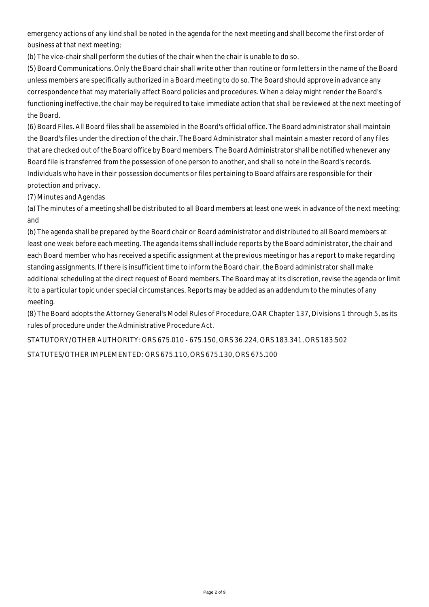emergency actions of any kind shall be noted in the agenda for the next meeting and shall become the first order of business at that next meeting;

(b) The vice-chair shall perform the duties of the chair when the chair is unable to do so.

(5) Board Communications. Only the Board chair shall write other than routine or form letters in the name of the Board unless members are specifically authorized in a Board meeting to do so. The Board should approve in advance any correspondence that may materially affect Board policies and procedures. When a delay might render the Board's functioning ineffective, the chair may be required to take immediate action that shall be reviewed at the next meeting of the Board.

(6) Board Files. All Board files shall be assembled in the Board's official office. The Board administrator shall maintain the Board's files under the direction of the chair. The Board Administrator shall maintain a master record of any files that are checked out of the Board office by Board members. The Board Administrator shall be notified whenever any Board file is transferred from the possession of one person to another, and shall so note in the Board's records. Individuals who have in their possession documents or files pertaining to Board affairs are responsible for their protection and privacy.

(7) Minutes and Agendas

(a) The minutes of a meeting shall be distributed to all Board members at least one week in advance of the next meeting; and

(b) The agenda shall be prepared by the Board chair or Board administrator and distributed to all Board members at least one week before each meeting. The agenda items shall include reports by the Board administrator, the chair and each Board member who has received a specific assignment at the previous meeting or has a report to make regarding standing assignments. If there is insufficient time to inform the Board chair, the Board administrator shall make additional scheduling at the direct request of Board members. The Board may at its discretion, revise the agenda or limit it to a particular topic under special circumstances. Reports may be added as an addendum to the minutes of any meeting.

(8) The Board adopts the Attorney General's Model Rules of Procedure, OAR Chapter 137, Divisions 1 through 5, as its rules of procedure under the Administrative Procedure Act.

STATUTORY/OTHER AUTHORITY: ORS 675.010 - 675.150, ORS 36.224, ORS 183.341, ORS 183.502 STATUTES/OTHER IMPLEMENTED: ORS 675.110, ORS 675.130, ORS 675.100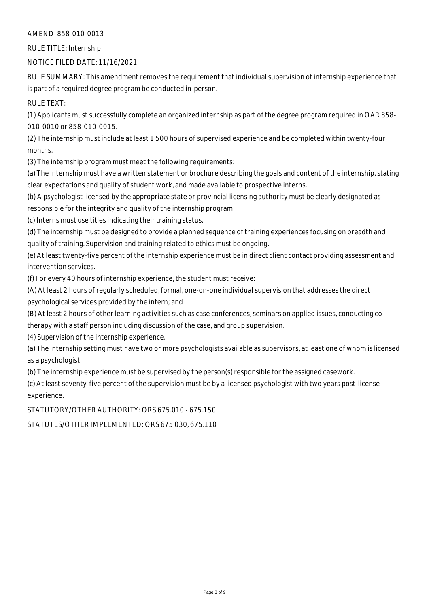#### AMEND: 858-010-0013

RULE TITLE: Internship

NOTICE FILED DATE: 11/16/2021

RULE SUMMARY: This amendment removes the requirement that individual supervision of internship experience that is part of a required degree program be conducted in-person.

RULE TEXT:

(1) Applicants must successfully complete an organized internship as part of the degree program required in OAR 858- 010-0010 or 858-010-0015.

(2) The internship must include at least 1,500 hours of supervised experience and be completed within twenty-four months.

(3) The internship program must meet the following requirements:

(a) The internship must have a written statement or brochure describing the goals and content of the internship, stating clear expectations and quality of student work, and made available to prospective interns.

(b) A psychologist licensed by the appropriate state or provincial licensing authority must be clearly designated as responsible for the integrity and quality of the internship program.

(c) Interns must use titles indicating their training status.

(d) The internship must be designed to provide a planned sequence of training experiences focusing on breadth and quality of training. Supervision and training related to ethics must be ongoing.

(e) At least twenty-five percent of the internship experience must be in direct client contact providing assessment and intervention services.

(f) For every 40 hours of internship experience, the student must receive:

(A) At least 2 hours of regularly scheduled, formal, one-on-one individual supervision that addresses the direct psychological services provided by the intern; and

(B) At least 2 hours of other learning activities such as case conferences, seminars on applied issues, conducting co-

therapy with a staff person including discussion of the case, and group supervision.

(4) Supervision of the internship experience.

(a) The internship setting must have two or more psychologists available as supervisors, at least one of whom is licensed as a psychologist.

(b) The internship experience must be supervised by the person(s) responsible for the assigned casework.

(c) At least seventy-five percent of the supervision must be by a licensed psychologist with two years post-license experience.

STATUTORY/OTHER AUTHORITY: ORS 675.010 - 675.150

STATUTES/OTHER IMPLEMENTED: ORS 675.030, 675.110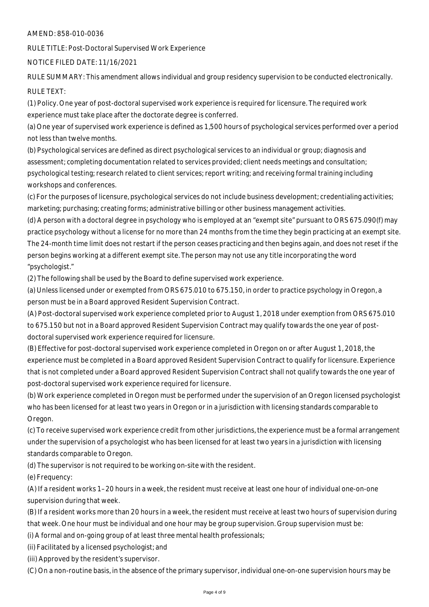#### AMEND: 858-010-0036

RULE TITLE: Post-Doctoral Supervised Work Experience

NOTICE FILED DATE: 11/16/2021

RULE SUMMARY: This amendment allows individual and group residency supervision to be conducted electronically.

### RULE TEXT:

(1) Policy. One year of post-doctoral supervised work experience is required for licensure. The required work experience must take place after the doctorate degree is conferred.

(a) One year of supervised work experience is defined as 1,500 hours of psychological services performed over a period not less than twelve months.

(b) Psychological services are defined as direct psychological services to an individual or group; diagnosis and assessment; completing documentation related to services provided; client needs meetings and consultation; psychological testing; research related to client services; report writing; and receiving formal training including workshops and conferences.

(c) For the purposes of licensure, psychological services do not include business development; credentialing activities; marketing; purchasing; creating forms; administrative billing or other business management activities.

(d) A person with a doctoral degree in psychology who is employed at an "exempt site" pursuant to ORS 675.090(f) may practice psychology without a license for no more than 24 months from the time they begin practicing at an exempt site. The 24-month time limit does not restart if the person ceases practicing and then begins again, and does not reset if the person begins working at a different exempt site. The person may not use any title incorporating the word "psychologist."

(2) The following shall be used by the Board to define supervised work experience.

(a) Unless licensed under or exempted from ORS 675.010 to 675.150, in order to practice psychology in Oregon, a person must be in a Board approved Resident Supervision Contract.

(A) Post-doctoral supervised work experience completed prior to August 1, 2018 under exemption from ORS 675.010 to 675.150 but not in a Board approved Resident Supervision Contract may qualify towards the one year of postdoctoral supervised work experience required for licensure.

(B) Effective for post-doctoral supervised work experience completed in Oregon on or after August 1, 2018, the experience must be completed in a Board approved Resident Supervision Contract to qualify for licensure. Experience that is not completed under a Board approved Resident Supervision Contract shall not qualify towards the one year of post-doctoral supervised work experience required for licensure.

(b) Work experience completed in Oregon must be performed under the supervision of an Oregon licensed psychologist who has been licensed for at least two years in Oregon or in a jurisdiction with licensing standards comparable to Oregon.

(c) To receive supervised work experience credit from other jurisdictions, the experience must be a formal arrangement under the supervision of a psychologist who has been licensed for at least two years in a jurisdiction with licensing standards comparable to Oregon.

(d) The supervisor is not required to be working on-site with the resident.

(e) Frequency:

(A) If a resident works 1–20 hours in a week, the resident must receive at least one hour of individual one-on-one supervision during that week.

(B) If a resident works more than 20 hours in a week, the resident must receive at least two hours of supervision during that week. One hour must be individual and one hour may be group supervision. Group supervision must be:

(i) A formal and on-going group of at least three mental health professionals;

(ii) Facilitated by a licensed psychologist; and

(iii) Approved by the resident's supervisor.

(C) On a non-routine basis, in the absence of the primary supervisor, individual one-on-one supervision hours may be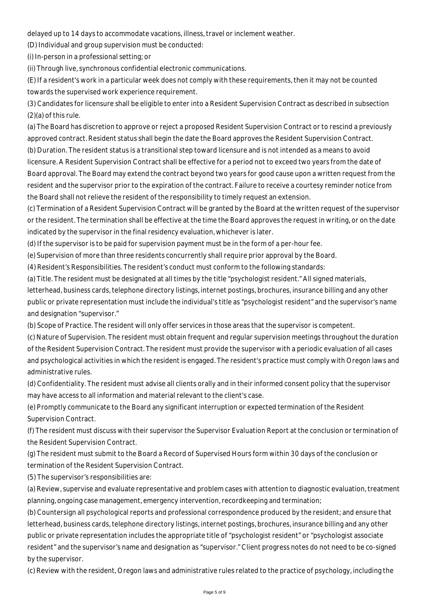delayed up to 14 days to accommodate vacations, illness, travel or inclement weather.

(D) Individual and group supervision must be conducted:

(i) In-person in a professional setting; or

(ii) Through live, synchronous confidential electronic communications.

(E) If a resident's work in a particular week does not comply with these requirements, then it may not be counted towards the supervised work experience requirement.

(3) Candidates for licensure shall be eligible to enter into a Resident Supervision Contract as described in subsection (2)(a) of this rule.

(a) The Board has discretion to approve or reject a proposed Resident Supervision Contract or to rescind a previously approved contract. Resident status shall begin the date the Board approves the Resident Supervision Contract.

(b) Duration. The resident status is a transitional step toward licensure and is not intended as a means to avoid licensure. A Resident Supervision Contract shall be effective for a period not to exceed two years from the date of Board approval. The Board may extend the contract beyond two years for good cause upon a written request from the resident and the supervisor prior to the expiration of the contract. Failure to receive a courtesy reminder notice from the Board shall not relieve the resident of the responsibility to timely request an extension.

(c) Termination of a Resident Supervision Contract will be granted by the Board at the written request of the supervisor or the resident. The termination shall be effective at the time the Board approves the request in writing, or on the date indicated by the supervisor in the final residency evaluation, whichever is later.

(d) If the supervisor is to be paid for supervision payment must be in the form of a per-hour fee.

(e) Supervision of more than three residents concurrently shall require prior approval by the Board.

(4) Resident's Responsibilities. The resident's conduct must conform to the following standards:

(a) Title. The resident must be designated at all times by the title "psychologist resident." All signed materials,

letterhead, business cards, telephone directory listings, internet postings, brochures, insurance billing and any other public or private representation must include the individual's title as "psychologist resident" and the supervisor's name and designation "supervisor."

(b) Scope of Practice. The resident will only offer services in those areas that the supervisor is competent.

(c) Nature of Supervision. The resident must obtain frequent and regular supervision meetings throughout the duration of the Resident Supervision Contract. The resident must provide the supervisor with a periodic evaluation of all cases and psychological activities in which the resident is engaged. The resident's practice must comply with Oregon laws and administrative rules.

(d) Confidentiality. The resident must advise all clients orally and in their informed consent policy that the supervisor may have access to all information and material relevant to the client's case.

(e) Promptly communicate to the Board any significant interruption or expected termination of the Resident Supervision Contract.

(f) The resident must discuss with their supervisor the Supervisor Evaluation Report at the conclusion or termination of the Resident Supervision Contract.

(g) The resident must submit to the Board a Record of Supervised Hours form within 30 days of the conclusion or termination of the Resident Supervision Contract.

(5) The supervisor's responsibilities are:

(a) Review, supervise and evaluate representative and problem cases with attention to diagnostic evaluation, treatment planning, ongoing case management, emergency intervention, recordkeeping and termination;

(b) Countersign all psychological reports and professional correspondence produced by the resident; and ensure that letterhead, business cards, telephone directory listings, internet postings, brochures, insurance billing and any other public or private representation includes the appropriate title of "psychologist resident" or "psychologist associate resident" and the supervisor's name and designation as "supervisor." Client progress notes do not need to be co-signed by the supervisor.

(c) Review with the resident, Oregon laws and administrative rules related to the practice of psychology, including the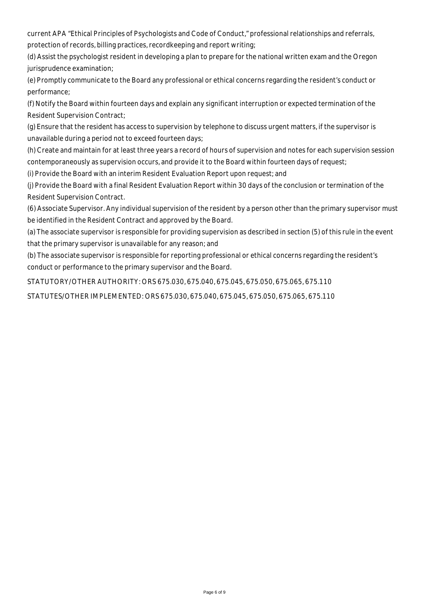current APA "Ethical Principles of Psychologists and Code of Conduct," professional relationships and referrals, protection of records, billing practices, recordkeeping and report writing;

(d) Assist the psychologist resident in developing a plan to prepare for the national written exam and the Oregon jurisprudence examination;

(e) Promptly communicate to the Board any professional or ethical concerns regarding the resident's conduct or performance;

(f) Notify the Board within fourteen days and explain any significant interruption or expected termination of the Resident Supervision Contract;

(g) Ensure that the resident has access to supervision by telephone to discuss urgent matters, if the supervisor is unavailable during a period not to exceed fourteen days;

(h) Create and maintain for at least three years a record of hours of supervision and notes for each supervision session contemporaneously as supervision occurs, and provide it to the Board within fourteen days of request;

(i) Provide the Board with an interim Resident Evaluation Report upon request; and

(j) Provide the Board with a final Resident Evaluation Report within 30 days of the conclusion or termination of the Resident Supervision Contract.

(6) Associate Supervisor. Any individual supervision of the resident by a person other than the primary supervisor must be identified in the Resident Contract and approved by the Board.

(a) The associate supervisor is responsible for providing supervision as described in section (5) of this rule in the event that the primary supervisor is unavailable for any reason; and

(b) The associate supervisor is responsible for reporting professional or ethical concerns regarding the resident's conduct or performance to the primary supervisor and the Board.

STATUTORY/OTHER AUTHORITY: ORS 675.030, 675.040, 675.045, 675.050, 675.065, 675.110

STATUTES/OTHER IMPLEMENTED: ORS 675.030, 675.040, 675.045, 675.050, 675.065, 675.110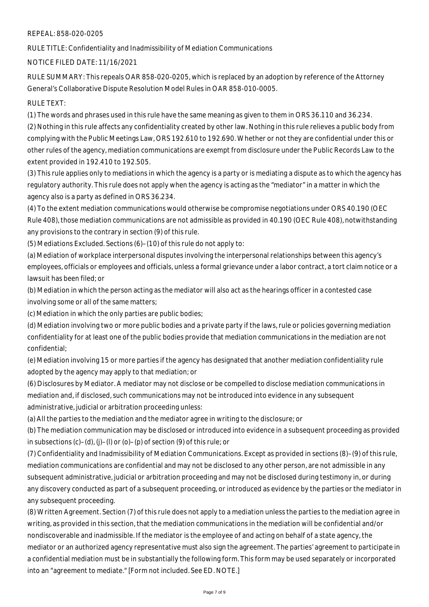### REPEAL: 858-020-0205

RULE TITLE: Confidentiality and Inadmissibility of Mediation Communications

NOTICE FILED DATE: 11/16/2021

RULE SUMMARY: This repeals OAR 858-020-0205, which is replaced by an adoption by reference of the Attorney General's Collaborative Dispute Resolution Model Rules in OAR 858-010-0005.

# RULE TEXT:

(1) The words and phrases used in this rule have the same meaning as given to them in ORS 36.110 and 36.234. (2) Nothing in this rule affects any confidentiality created by other law. Nothing in this rule relieves a public body from complying with the Public Meetings Law, ORS 192.610 to 192.690. Whether or not they are confidential under this or other rules of the agency, mediation communications are exempt from disclosure under the Public Records Law to the extent provided in 192.410 to 192.505.

(3) This rule applies only to mediations in which the agency is a party or is mediating a dispute as to which the agency has regulatory authority. This rule does not apply when the agency is acting as the "mediator" in a matter in which the agency also is a party as defined in ORS 36.234.

(4) To the extent mediation communications would otherwise be compromise negotiations under ORS 40.190 (OEC Rule 408), those mediation communications are not admissible as provided in 40.190 (OEC Rule 408), notwithstanding any provisions to the contrary in section (9) of this rule.

(5) Mediations Excluded. Sections (6)–(10) of this rule do not apply to:

(a) Mediation of workplace interpersonal disputes involving the interpersonal relationships between this agency's employees, officials or employees and officials, unless a formal grievance under a labor contract, a tort claim notice or a lawsuit has been filed; or

(b) Mediation in which the person acting as the mediator will also act as the hearings officer in a contested case involving some or all of the same matters;

(c) Mediation in which the only parties are public bodies;

(d) Mediation involving two or more public bodies and a private party if the laws, rule or policies governing mediation confidentiality for at least one of the public bodies provide that mediation communications in the mediation are not confidential;

(e) Mediation involving 15 or more parties if the agency has designated that another mediation confidentiality rule adopted by the agency may apply to that mediation; or

(6) Disclosures by Mediator. A mediator may not disclose or be compelled to disclose mediation communications in mediation and, if disclosed, such communications may not be introduced into evidence in any subsequent administrative, judicial or arbitration proceeding unless:

(a) All the parties to the mediation and the mediator agree in writing to the disclosure; or

(b) The mediation communication may be disclosed or introduced into evidence in a subsequent proceeding as provided in subsections (c)–(d), (j)–(l) or (o)–(p) of section (9) of this rule; or

(7) Confidentiality and Inadmissibility of Mediation Communications. Except as provided in sections (8)–(9) of this rule, mediation communications are confidential and may not be disclosed to any other person, are not admissible in any subsequent administrative, judicial or arbitration proceeding and may not be disclosed during testimony in, or during any discovery conducted as part of a subsequent proceeding, or introduced as evidence by the parties or the mediator in any subsequent proceeding.

(8) Written Agreement. Section (7) of this rule does not apply to a mediation unless the parties to the mediation agree in writing, as provided in this section, that the mediation communications in the mediation will be confidential and/or nondiscoverable and inadmissible. If the mediator is the employee of and acting on behalf of a state agency, the mediator or an authorized agency representative must also sign the agreement. The parties' agreement to participate in a confidential mediation must be in substantially the following form. This form may be used separately or incorporated into an "agreement to mediate." [Form not included. See ED. NOTE.]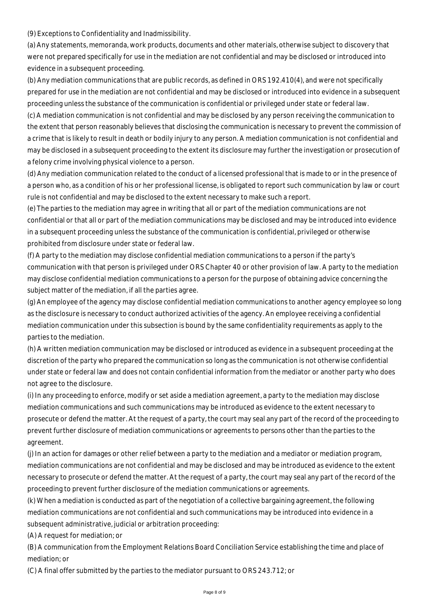(9) Exceptions to Confidentiality and Inadmissibility.

(a) Any statements, memoranda, work products, documents and other materials, otherwise subject to discovery that were not prepared specifically for use in the mediation are not confidential and may be disclosed or introduced into evidence in a subsequent proceeding.

(b) Any mediation communications that are public records, as defined in ORS 192.410(4), and were not specifically prepared for use in the mediation are not confidential and may be disclosed or introduced into evidence in a subsequent proceeding unless the substance of the communication is confidential or privileged under state or federal law.

(c) A mediation communication is not confidential and may be disclosed by any person receiving the communication to the extent that person reasonably believes that disclosing the communication is necessary to prevent the commission of a crime that is likely to result in death or bodily injury to any person. A mediation communication is not confidential and may be disclosed in a subsequent proceeding to the extent its disclosure may further the investigation or prosecution of a felony crime involving physical violence to a person.

(d) Any mediation communication related to the conduct of a licensed professional that is made to or in the presence of a person who, as a condition of his or her professional license, is obligated to report such communication by law or court rule is not confidential and may be disclosed to the extent necessary to make such a report.

(e) The parties to the mediation may agree in writing that all or part of the mediation communications are not confidential or that all or part of the mediation communications may be disclosed and may be introduced into evidence in a subsequent proceeding unless the substance of the communication is confidential, privileged or otherwise prohibited from disclosure under state or federal law.

(f) A party to the mediation may disclose confidential mediation communications to a person if the party's communication with that person is privileged under ORS Chapter 40 or other provision of law. A party to the mediation may disclose confidential mediation communications to a person for the purpose of obtaining advice concerning the subject matter of the mediation, if all the parties agree.

(g) An employee of the agency may disclose confidential mediation communications to another agency employee so long as the disclosure is necessary to conduct authorized activities of the agency. An employee receiving a confidential mediation communication under this subsection is bound by the same confidentiality requirements as apply to the parties to the mediation.

(h) A written mediation communication may be disclosed or introduced as evidence in a subsequent proceeding at the discretion of the party who prepared the communication so long as the communication is not otherwise confidential under state or federal law and does not contain confidential information from the mediator or another party who does not agree to the disclosure.

(i) In any proceeding to enforce, modify or set aside a mediation agreement, a party to the mediation may disclose mediation communications and such communications may be introduced as evidence to the extent necessary to prosecute or defend the matter. At the request of a party, the court may seal any part of the record of the proceeding to prevent further disclosure of mediation communications or agreements to persons other than the parties to the agreement.

(j) In an action for damages or other relief between a party to the mediation and a mediator or mediation program, mediation communications are not confidential and may be disclosed and may be introduced as evidence to the extent necessary to prosecute or defend the matter. At the request of a party, the court may seal any part of the record of the proceeding to prevent further disclosure of the mediation communications or agreements.

(k) When a mediation is conducted as part of the negotiation of a collective bargaining agreement, the following mediation communications are not confidential and such communications may be introduced into evidence in a subsequent administrative, judicial or arbitration proceeding:

(A) A request for mediation; or

(B) A communication from the Employment Relations Board Conciliation Service establishing the time and place of mediation; or

(C) A final offer submitted by the parties to the mediator pursuant to ORS 243.712; or